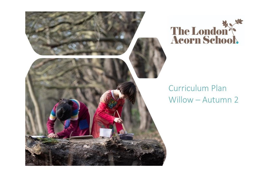



## Curriculum Plan Willow - Autumn 2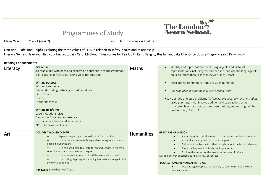## Programmes of Study



Class/ Year Class 1 (year 2) Term Autumn – Second half term

Unit title: Safe Kind Helpful Exploring the three values of TLAS in relation to safety, health and relationship. Literacy Genres: Have you filled your bucket today? Carol McCloud, Tiger comes for Tea Judith Kerr, Naughty Bus Jan and Jake Oke, Once Upon a Dragon- Jean E Pendziwold

## Reading Enhancements

| Literacy | Grammar<br>To read aloud with pace and expression appropriate to the grammar,<br>e.g., pausing at full stops, raising voice for question.<br><b>Writing purpose</b><br>Writing to entertain:<br>Stories (Including re-telling & traditional tales)<br>Descriptions<br>Poetry<br>In character role<br>Writing to inform:<br>Labels, Captions, Lists<br>Recount - First-hand experience<br>Instructions - First-hand experience<br>NCR - Information Leaflet      | <b>Maths</b>      | Identify and represent numbers using objects and pictorial<br>representations including the number line, and use the language of:<br>equal to, more than, less than (fewer), most, least<br>Read and write numbers from 1 to 20 in numerals<br>$\bullet$<br>Use language of ordering e.g. first, second, third<br>$\bullet$<br>• Solve simple one-step problems (in familiar practical contexts, including<br>using quantities) that involve addition and subtraction, using<br>concrete objects and pictorial representations, and missing number<br>problems <i>e.g.</i> $3 + 7$ |
|----------|-----------------------------------------------------------------------------------------------------------------------------------------------------------------------------------------------------------------------------------------------------------------------------------------------------------------------------------------------------------------------------------------------------------------------------------------------------------------|-------------------|------------------------------------------------------------------------------------------------------------------------------------------------------------------------------------------------------------------------------------------------------------------------------------------------------------------------------------------------------------------------------------------------------------------------------------------------------------------------------------------------------------------------------------------------------------------------------------|
| Art      | <b>COLLAGE THROUGH COLOUR</b><br>Explore images by Arcimboldo with fruit and food<br>Use our favourite fruits & vegetables to explore shape and<br>space in our own art<br>Use coloured card to create forms and shapes in the style<br>of Arcimboldo and our own self images<br>Use words of kindness to build the same self-portraits<br>Use cutting, layering and shaping to create an image in the<br>style of Arcimboldo.<br>Handwork- Make beeswax fruits | <b>Humanities</b> | <b>GREAT FIRE OF LONDON</b><br>Know about historical events that are beyond our living memory<br>Ask and answer questions about the past<br>$\bullet$<br>Talk about the key factors that brought about the historical event<br>$\bullet$<br>Place the key events into chronological order<br>Explore the impact of the event on the lives of others<br>Ask and answer questions using a variety of sources<br><b>LOCAL &amp; FAMILIAR PHYSICAL FEATURES</b><br>Use basic geographical vocabulary to refer to school and other<br>familiar features                                 |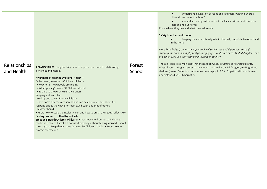|                             |                                                                                                                                                                                                                                                                                                                                                                                                                                                                                                                                                                                                                                                                                                                                                                                                                                                                                                                                                                 |                  | Understand navigation of roads and landmarks within our area<br>$\bullet$<br>(How do we come to school?)<br>Ask and answer questions about the local environment (the rose<br>garden and our homes)<br>Know where they live and what their address is.<br>Safety in and around London<br>Keeping me and my family safe in the park, on public transport and<br>in the home<br>Place knowledge § understand geographical similarities and differences through<br>studying the human and physical geography of a small area of the United Kingdom, and<br>of a small area in a contrasting non-European country |
|-----------------------------|-----------------------------------------------------------------------------------------------------------------------------------------------------------------------------------------------------------------------------------------------------------------------------------------------------------------------------------------------------------------------------------------------------------------------------------------------------------------------------------------------------------------------------------------------------------------------------------------------------------------------------------------------------------------------------------------------------------------------------------------------------------------------------------------------------------------------------------------------------------------------------------------------------------------------------------------------------------------|------------------|---------------------------------------------------------------------------------------------------------------------------------------------------------------------------------------------------------------------------------------------------------------------------------------------------------------------------------------------------------------------------------------------------------------------------------------------------------------------------------------------------------------------------------------------------------------------------------------------------------------|
| Relationships<br>and Health | <b>RELATIONSHIPS</b> using the fairy tales to explore questions to relationship,<br>dynamics and morals.<br>Awareness of feelings Emotional Health -<br>Self-esteem/awareness Children will learn:<br>. How to tell how people are feeling<br>. What 'privacy' means SG Children should:<br>• Be able to show some self-awareness<br>Keeping well and clean<br>Healthy and safe Children will learn:<br>• how some diseases are spread and can be controlled and about the<br>responsibilities they have for their own health and that of others<br>Children should:<br>• know how to keep themselves clean and how to brush their teeth effectively<br>Healthy and safe<br>Feeling unsure<br>Emotional Health Children will learn: • that household products, including<br>medicines, can be harmful if not used properly • about feeling worried • about<br>their right to keep things some 'private' SG Children should: • know how to<br>protect themselves | Forest<br>School | The Old Apple Tree Man story: Kindness, food webs, structure of flowering plants.<br>Wassail Song. Using all senses in the woods, with leaf art, wild foraging, making tripod<br>shelters (lavvu). Reflection: what makes me happy in FS? Empathy with non-human:<br>understand/discuss hibernation.                                                                                                                                                                                                                                                                                                          |